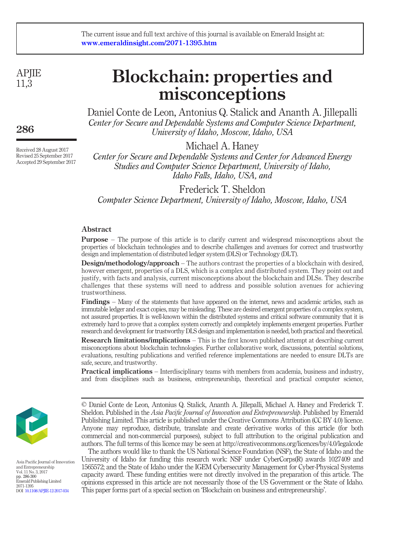**APJIE** 11,3

286

Received 28 August 2017 Revised 25 September 2017 Accepted 29 September 2017

# Blockchain: properties and misconceptions

Daniel Conte de Leon, Antonius Q. Stalick and Ananth A. Jillepalli Center for Secure and Dependable Systems and Computer Science Department, University of Idaho, Moscow, Idaho, USA

Michael A. Haney

Center for Secure and Dependable Systems and Center for Advanced Energy Studies and Computer Science Department, University of Idaho, Idaho Falls, Idaho, USA, and

Frederick T. Sheldon Computer Science Department, University of Idaho, Moscow, Idaho, USA

## Abstract

Purpose – The purpose of this article is to clarify current and widespread misconceptions about the properties of blockchain technologies and to describe challenges and avenues for correct and trustworthy design and implementation of distributed ledger system (DLS) or Technology (DLT).

Design/methodology/approach – The authors contrast the properties of a blockchain with desired, however emergent, properties of a DLS, which is a complex and distributed system. They point out and justify, with facts and analysis, current misconceptions about the blockchain and DLSs. They describe challenges that these systems will need to address and possible solution avenues for achieving trustworthiness.

Findings – Many of the statements that have appeared on the internet, news and academic articles, such as immutable ledger and exact copies, may be misleading. These are desired emergent properties of a complex system, not assured properties. It is well-known within the distributed systems and critical software community that it is extremely hard to prove that a complex system correctly and completely implements emergent properties. Further research and development for trustworthy DLS design and implementation is needed, both practical and theoretical.

Research limitations/implications – This is the first known published attempt at describing current misconceptions about blockchain technologies. Further collaborative work, discussions, potential solutions, evaluations, resulting publications and verified reference implementations are needed to ensure DLTs are safe, secure, and trustworthy.

**Practical implications** – Interdisciplinary teams with members from academia, business and industry, and from disciplines such as business, entrepreneurship, theoretical and practical computer science,



Asia Pacific Journal of Innovation and Entrepreneurship Vol. 11 No. 3, 2017 pp. 286-300 Emerald Publishing Limited 2071-1395 DOI [10.1108/APJIE-12-2017-034](http://dx.doi.org/10.1108/APJIE-12-2017-034)

© Daniel Conte de Leon, Antonius Q. Stalick, Ananth A. Jillepalli, Michael A. Haney and Frederick T. Sheldon. Published in the Asia Pacific Journal of Innovation and Entrepreneurship. Published by Emerald Publishing Limited. This article is published under the Creative Commons Attribution (CC BY 4.0) licence. Anyone may reproduce, distribute, translate and create derivative works of this article (for both commercial and non-commercial purposes), subject to full attribution to the original publication and authors. The full terms of this licence may be seen at http://creativecommons.org/licences/by/4.0/legalcode

The authors would like to thank the US National Science Foundation (NSF), the State of Idaho and the University of Idaho for funding this research work: NSF under CyberCorps(R) awards 1027409 and 1565572; and the State of Idaho under the IGEM Cybersecurity Management for Cyber-Physical Systems capacity award. These funding entities were not directly involved in the preparation of this article. The opinions expressed in this article are not necessarily those of the US Government or the State of Idaho. This paper forms part of a special section on 'Blockchain on business and entrepreneurship'.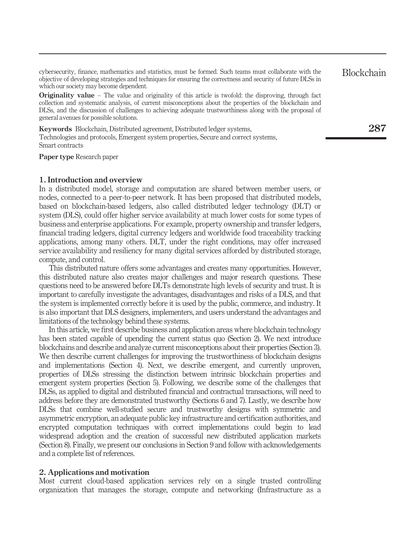cybersecurity, finance, mathematics and statistics, must be formed. Such teams must collaborate with the objective of developing strategies and techniques for ensuring the correctness and security of future DLSs in which our society may become dependent.

**Originality value** – The value and originality of this article is twofold: the disproving, through fact collection and systematic analysis, of current misconceptions about the properties of the blockchain and DLSs, and the discussion of challenges to achieving adequate trustworthiness along with the proposal of general avenues for possible solutions.

Keywords Blockchain, Distributed agreement, Distributed ledger systems,

Technologies and protocols, Emergent system properties, Secure and correct systems, Smart contracts

Paper type Research paper

#### 1. Introduction and overview

In a distributed model, storage and computation are shared between member users, or nodes, connected to a peer-to-peer network. It has been proposed that distributed models, based on blockchain-based ledgers, also called distributed ledger technology (DLT) or system (DLS), could offer higher service availability at much lower costs for some types of business and enterprise applications. For example, property ownership and transfer ledgers, financial trading ledgers, digital currency ledgers and worldwide food traceability tracking applications, among many others. DLT, under the right conditions, may offer increased service availability and resiliency for many digital services afforded by distributed storage, compute, and control.

This distributed nature offers some advantages and creates many opportunities. However, this distributed nature also creates major challenges and major research questions. These questions need to be answered before DLTs demonstrate high levels of security and trust. It is important to carefully investigate the advantages, disadvantages and risks of a DLS, and that the system is implemented correctly before it is used by the public, commerce, and industry. It is also important that DLS designers, implementers, and users understand the advantages and limitations of the technology behind these systems.

In this article, we first describe business and application areas where blockchain technology has been stated capable of upending the current status quo (Section 2). We next introduce blockchains and describe and analyze current misconceptions about their properties (Section 3). We then describe current challenges for improving the trustworthiness of blockchain designs and implementations (Section 4). Next, we describe emergent, and currently unproven, properties of DLSs stressing the distinction between intrinsic blockchain properties and emergent system properties (Section 5). Following, we describe some of the challenges that DLSs, as applied to digital and distributed financial and contractual transactions, will need to address before they are demonstrated trustworthy (Sections 6 and 7). Lastly, we describe how DLSs that combine well-studied secure and trustworthy designs with symmetric and asymmetric encryption, an adequate public key infrastructure and certification authorities, and encrypted computation techniques with correct implementations could begin to lead widespread adoption and the creation of successful new distributed application markets (Section 8). Finally, we present our conclusions in Section 9 and follow with acknowledgements and a complete list of references.

#### 2. Applications and motivation

Most current cloud-based application services rely on a single trusted controlling organization that manages the storage, compute and networking (Infrastructure as a Blockchain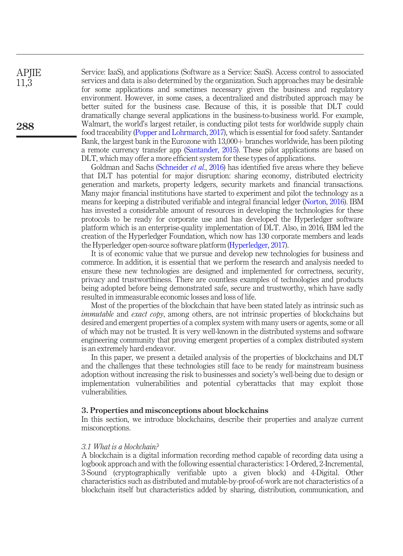Service: IaaS), and applications (Software as a Service: SaaS). Access control to associated services and data is also determined by the organization. Such approaches may be desirable for some applications and sometimes necessary given the business and regulatory environment. However, in some cases, a decentralized and distributed approach may be better suited for the business case. Because of this, it is possible that DLT could dramatically change several applications in the business-to-business world. For example, Walmart, the world's largest retailer, is conducting pilot tests for worldwide supply chain food traceability ([Popper and Lohrmarch, 2017](#page-13-0)), which is essential for food safety. Santander Bank, the largest bank in the Eurozone with  $13,000+$  branches worldwide, has been piloting a remote currency transfer app ([Santander, 2015\)](#page-13-1). These pilot applications are based on DLT, which may offer a more efficient system for these types of applications.

Goldman and Sachs ([Schneider](#page-14-0) et al., 2016) has identified five areas where they believe that DLT has potential for major disruption: sharing economy, distributed electricity generation and markets, property ledgers, security markets and financial transactions. Many major financial institutions have started to experiment and pilot the technology as a means for keeping a distributed verifiable and integral financial ledger [\(Norton, 2016\)](#page-13-2). IBM has invested a considerable amount of resources in developing the technologies for these protocols to be ready for corporate use and has developed the Hyperledger software platform which is an enterprise-quality implementation of DLT. Also, in 2016, IBM led the creation of the Hyperledger Foundation, which now has 130 corporate members and leads the Hyperledger open-source software platform ([Hyperledger, 2017](#page-13-3)).

It is of economic value that we pursue and develop new technologies for business and commerce. In addition, it is essential that we perform the research and analysis needed to ensure these new technologies are designed and implemented for correctness, security, privacy and trustworthiness. There are countless examples of technologies and products being adopted before being demonstrated safe, secure and trustworthy, which have sadly resulted in immeasurable economic losses and loss of life.

Most of the properties of the blockchain that have been stated lately as intrinsic such as *immutable* and *exact copy*, among others, are not intrinsic properties of blockchains but desired and emergent properties of a complex system with many users or agents, some or all of which may not be trusted. It is very well-known in the distributed systems and software engineering community that proving emergent properties of a complex distributed system is an extremely hard endeavor.

In this paper, we present a detailed analysis of the properties of blockchains and DLT and the challenges that these technologies still face to be ready for mainstream business adoption without increasing the risk to businesses and society's well-being due to design or implementation vulnerabilities and potential cyberattacks that may exploit those vulnerabilities.

#### 3. Properties and misconceptions about blockchains

In this section, we introduce blockchains, describe their properties and analyze current misconceptions.

#### 3.1 What is a blockchain?

A blockchain is a digital information recording method capable of recording data using a logbook approach and with the following essential characteristics: 1-Ordered, 2-Incremental, 3-Sound (cryptographically verifiable upto a given block) and 4-Digital. Other characteristics such as distributed and mutable-by-proof-of-work are not characteristics of a blockchain itself but characteristics added by sharing, distribution, communication, and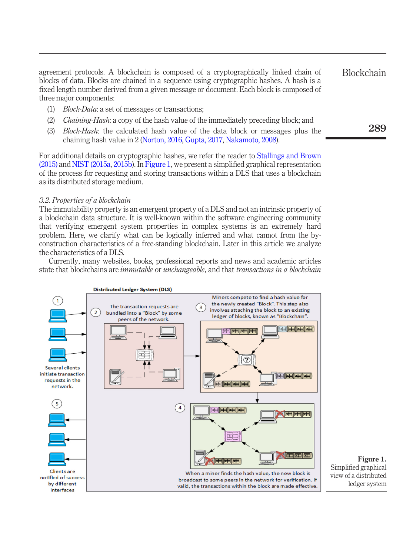agreement protocols. A blockchain is composed of a cryptographically linked chain of blocks of data. Blocks are chained in a sequence using cryptographic hashes. A hash is a fixed length number derived from a given message or document. Each block is composed of three major components: Blockchain

- (1) Block-Data: a set of messages or transactions;
- (2) Chaining-Hash: a copy of the hash value of the immediately preceding block; and
- (3) *Block-Hash*: the calculated hash value of the data block or messages plus the chaining hash value in 2 [\(Norton, 2016,](#page-13-2) [Gupta, 2017,](#page-13-4) [Nakamoto, 2008](#page-13-5)).

For additional details on cryptographic hashes, we refer the reader to [Stallings and Brown](#page-14-1) [\(2015\)](#page-14-1) and [NIST \(2015a](#page-13-6), [2015b\)](#page-13-7). In [Figure 1,](#page-3-0) we present a simplified graphical representation of the process for requesting and storing transactions within a DLS that uses a blockchain as its distributed storage medium.

#### 3.2. Properties of a blockchain

The immutability property is an emergent property of a DLS and not an intrinsic property of a blockchain data structure. It is well-known within the software engineering community that verifying emergent system properties in complex systems is an extremely hard problem. Here, we clarify what can be logically inferred and what cannot from the byconstruction characteristics of a free-standing blockchain. Later in this article we analyze the characteristics of a DLS.

Currently, many websites, books, professional reports and news and academic articles state that blockchains are *immutable* or *unchangeable*, and that *transactions in a blockchain* 



<span id="page-3-0"></span>Figure 1. Simplified graphical view of a distributed ledger system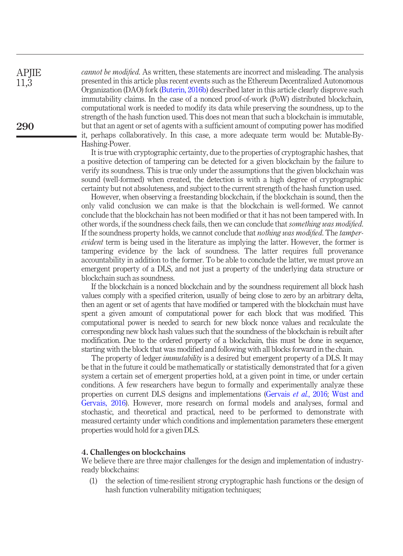cannot be modified. As written, these statements are incorrect and misleading. The analysis presented in this article plus recent events such as the Ethereum Decentralized Autonomous Organization (DAO) fork ([Buterin, 2016b\)](#page-12-0) described later in this article clearly disprove such immutability claims. In the case of a nonced proof-of-work (PoW) distributed blockchain, computational work is needed to modify its data while preserving the soundness, up to the strength of the hash function used. This does not mean that such a blockchain is immutable, but that an agent or set of agents with a sufficient amount of computing power has modified it, perhaps collaboratively. In this case, a more adequate term would be: Mutable-By-Hashing-Power.

It is true with cryptographic certainty, due to the properties of cryptographic hashes, that a positive detection of tampering can be detected for a given blockchain by the failure to verify its soundness. This is true only under the assumptions that the given blockchain was sound (well-formed) when created, the detection is with a high degree of cryptographic certainty but not absoluteness, and subject to the current strength of the hash function used.

However, when observing a freestanding blockchain, if the blockchain is sound, then the only valid conclusion we can make is that the blockchain is well-formed. We cannot conclude that the blockchain has not been modified or that it has not been tampered with. In other words, if the soundness check fails, then we can conclude that something was modified. If the soundness property holds, we cannot conclude that nothing was modified. The tamperevident term is being used in the literature as implying the latter. However, the former is tampering evidence by the lack of soundness. The latter requires full provenance accountability in addition to the former. To be able to conclude the latter, we must prove an emergent property of a DLS, and not just a property of the underlying data structure or blockchain such as soundness.

If the blockchain is a nonced blockchain and by the soundness requirement all block hash values comply with a specified criterion, usually of being close to zero by an arbitrary delta, then an agent or set of agents that have modified or tampered with the blockchain must have spent a given amount of computational power for each block that was modified. This computational power is needed to search for new block nonce values and recalculate the corresponding new block hash values such that the soundness of the blockchain is rebuilt after modification. Due to the ordered property of a blockchain, this must be done in sequence, starting with the block that was modified and following with all blocks forward in the chain.

The property of ledger *immutability* is a desired but emergent property of a DLS. It may be that in the future it could be mathematically or statistically demonstrated that for a given system a certain set of emergent properties hold, at a given point in time, or under certain conditions. A few researchers have begun to formally and experimentally analyze these properties on current DLS designs and implementations ([Gervais](#page-13-8) et al., 2016; [Wüst and](#page-14-2) [Gervais, 2016\)](#page-14-2). However, more research on formal models and analyses, formal and stochastic, and theoretical and practical, need to be performed to demonstrate with measured certainty under which conditions and implementation parameters these emergent properties would hold for a given DLS.

#### 4. Challenges on blockchains

We believe there are three major challenges for the design and implementation of industryready blockchains:

(1) the selection of time-resilient strong cryptographic hash functions or the design of hash function vulnerability mitigation techniques;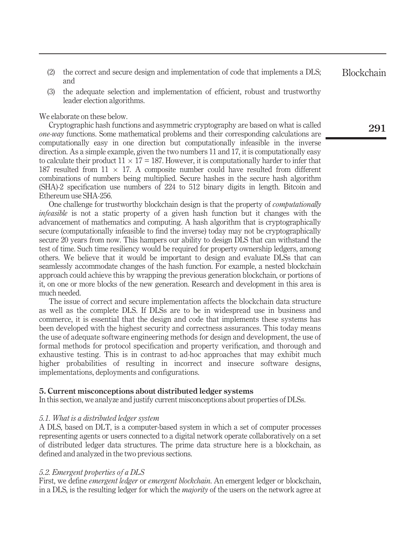- (2) the correct and secure design and implementation of code that implements a DLS; and Blockchain
- (3) the adequate selection and implementation of efficient, robust and trustworthy leader election algorithms.

We elaborate on these below.

Cryptographic hash functions and asymmetric cryptography are based on what is called one-way functions. Some mathematical problems and their corresponding calculations are computationally easy in one direction but computationally infeasible in the inverse direction. As a simple example, given the two numbers 11 and 17, it is computationally easy to calculate their product  $11 \times 17 = 187$ . However, it is computationally harder to infer that 187 resulted from  $11 \times 17$ . A composite number could have resulted from different combinations of numbers being multiplied. Secure hashes in the secure hash algorithm (SHA)-2 specification use numbers of 224 to 512 binary digits in length. Bitcoin and Ethereum use SHA-256.

One challenge for trustworthy blockchain design is that the property of computationally infeasible is not a static property of a given hash function but it changes with the advancement of mathematics and computing. A hash algorithm that is cryptographically secure (computationally infeasible to find the inverse) today may not be cryptographically secure 20 years from now. This hampers our ability to design DLS that can withstand the test of time. Such time resiliency would be required for property ownership ledgers, among others. We believe that it would be important to design and evaluate DLSs that can seamlessly accommodate changes of the hash function. For example, a nested blockchain approach could achieve this by wrapping the previous generation blockchain, or portions of it, on one or more blocks of the new generation. Research and development in this area is much needed.

The issue of correct and secure implementation affects the blockchain data structure as well as the complete DLS. If DLSs are to be in widespread use in business and commerce, it is essential that the design and code that implements these systems has been developed with the highest security and correctness assurances. This today means the use of adequate software engineering methods for design and development, the use of formal methods for protocol specification and property verification, and thorough and exhaustive testing. This is in contrast to ad-hoc approaches that may exhibit much higher probabilities of resulting in incorrect and insecure software designs, implementations, deployments and configurations.

#### 5. Current misconceptions about distributed ledger systems

In this section, we analyze and justify current misconceptions about properties of DLSs.

#### 5.1. What is a distributed ledger system

A DLS, based on DLT, is a computer-based system in which a set of computer processes representing agents or users connected to a digital network operate collaboratively on a set of distributed ledger data structures. The prime data structure here is a blockchain, as defined and analyzed in the two previous sections.

#### 5.2. Emergent properties of a DLS

First, we define *emergent ledger* or *emergent blockchain*. An emergent ledger or blockchain, in a DLS, is the resulting ledger for which the *majority* of the users on the network agree at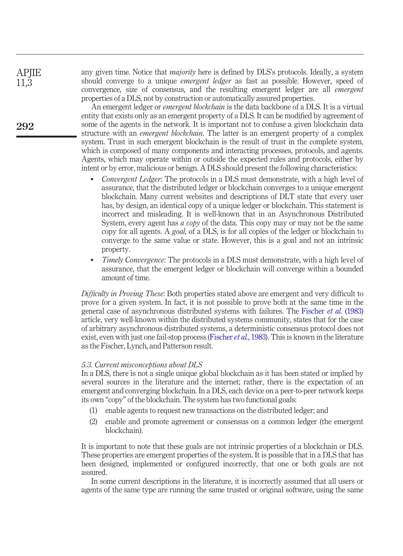any given time. Notice that *majority* here is defined by DLS's protocols. Ideally, a system should converge to a unique *emergent ledger* as fast as possible. However, speed of convergence, size of consensus, and the resulting emergent ledger are all emergent properties of a DLS, not by construction or automatically assured properties.

An emergent ledger or *emergent blockchain* is the data backbone of a DLS. It is a virtual entity that exists only as an emergent property of a DLS. It can be modified by agreement of some of the agents in the network. It is important not to confuse a given blockchain data structure with an *emergent blockchain*. The latter is an emergent property of a complex system. Trust in such emergent blockchain is the result of trust in the complete system, which is composed of many components and interacting processes, protocols, and agents. Agents, which may operate within or outside the expected rules and protocols, either by intent or by error, malicious or benign. A DLS should present the following characteristics:

- Convergent Ledger: The protocols in a DLS must demonstrate, with a high level of assurance, that the distributed ledger or blockchain converges to a unique emergent blockchain. Many current websites and descriptions of DLT state that every user has, by design, an identical copy of a unique ledger or blockchain. This statement is incorrect and misleading. It is well-known that in an Asynchronous Distributed System, every agent has  $a \, copy$  of the data. This copy may or may not be the same copy for all agents. A goal, of a DLS, is for all copies of the ledger or blockchain to converge to the same value or state. However, this is a goal and not an intrinsic property.
- Timely Convergence: The protocols in a DLS must demonstrate, with a high level of assurance, that the emergent ledger or blockchain will converge within a bounded amount of time.

Difficulty in Proving These: Both properties stated above are emergent and very difficult to prove for a given system. In fact, it is not possible to prove both at the same time in the general case of asynchronous distributed systems with failures. The [Fischer](#page-13-9) et al. (1983) article, very well-known within the distributed systems community, states that for the case of arbitrary asynchronous distributed systems, a deterministic consensus protocol does not exist, even with just one fail-stop process [\(Fischer](#page-13-9) *et al.*, 1983). This is known in the literature as the Fischer, Lynch, and Patterson result.

#### 5.3. Current misconceptions about DLS

In a DLS, there is not a single unique global blockchain as it has been stated or implied by several sources in the literature and the internet; rather, there is the expectation of an emergent and converging blockchain. In a DLS, each device on a peer-to-peer network keeps its own "copy" of the blockchain. The system has two functional goals:

- (1) enable agents to request new transactions on the distributed ledger; and
- (2) enable and promote agreement or consensus on a common ledger (the emergent blockchain).

It is important to note that these goals are not intrinsic properties of a blockchain or DLS. These properties are emergent properties of the system. It is possible that in a DLS that has been designed, implemented or configured incorrectly, that one or both goals are not assured.

In some current descriptions in the literature, it is incorrectly assumed that all users or agents of the same type are running the same trusted or original software, using the same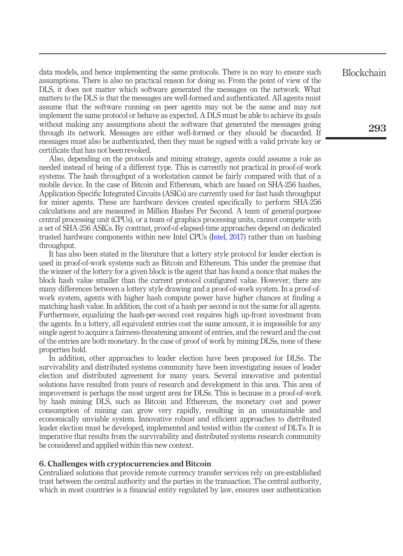data models, and hence implementing the same protocols. There is no way to ensure such assumptions. There is also no practical reason for doing so. From the point of view of the DLS, it does not matter which software generated the messages on the network. What matters to the DLS is that the messages are well-formed and authenticated. All agents must assume that the software running on peer agents may not be the same and may not implement the same protocol or behave as expected. A DLS must be able to achieve its goals without making any assumptions about the software that generated the messages going through its network. Messages are either well-formed or they should be discarded. If messages must also be authenticated, then they must be signed with a valid private key or certificate that has not been revoked.

Also, depending on the protocols and mining strategy, agents could assume a role as needed instead of being of a different type. This is currently not practical in proof-of-work systems. The hash throughput of a workstation cannot be fairly compared with that of a mobile device. In the case of Bitcoin and Ethereum, which are based on SHA-256 hashes, Application-Specific Integrated Circuits (ASICs) are currently used for fast hash throughput for miner agents. These are hardware devices created specifically to perform SHA-256 calculations and are measured in Million Hashes Per Second. A team of general-purpose central processing unit (CPUs), or a team of graphics processing units, cannot compete with a set of SHA-256 ASICs. By contrast, proof-of-elapsed-time approaches depend on dedicated trusted hardware components within new Intel CPUs ([Intel, 2017\)](#page-13-10) rather than on hashing throughput.

It has also been stated in the literature that a lottery style protocol for leader election is used in proof-of-work systems such as Bitcoin and Ethereum. This under the premise that the winner of the lottery for a given block is the agent that has found a nonce that makes the block hash value smaller than the current protocol configured value. However, there are many differences between a lottery style drawing and a proof-of-work system. In a proof-ofwork system, agents with higher hash compute power have higher chances at finding a matching hash value. In addition, the cost of a hash per second is not the same for all agents. Furthermore, equalizing the hash-per-second cost requires high up-front investment from the agents. In a lottery, all equivalent entries cost the same amount, it is impossible for any single agent to acquire a fairness-threatening amount of entries, and the reward and the cost of the entries are both monetary. In the case of proof of work by mining DLSs, none of these properties hold.

In addition, other approaches to leader election have been proposed for DLSs. The survivability and distributed systems community have been investigating issues of leader election and distributed agreement for many years. Several innovative and potential solutions have resulted from years of research and development in this area. This area of improvement is perhaps the most urgent area for DLSs. This is because in a proof-of-work by hash mining DLS, such as Bitcoin and Ethereum, the monetary cost and power consumption of mining can grow very rapidly, resulting in an unsustainable and economically unviable system. Innovative robust and efficient approaches to distributed leader election must be developed, implemented and tested within the context of DLTs. It is imperative that results from the survivability and distributed systems research community be considered and applied within this new context.

### 6. Challenges with cryptocurrencies and Bitcoin

Centralized solutions that provide remote currency transfer services rely on pre-established trust between the central authority and the parties in the transaction. The central authority, which in most countries is a financial entity regulated by law, ensures user authentication Blockchain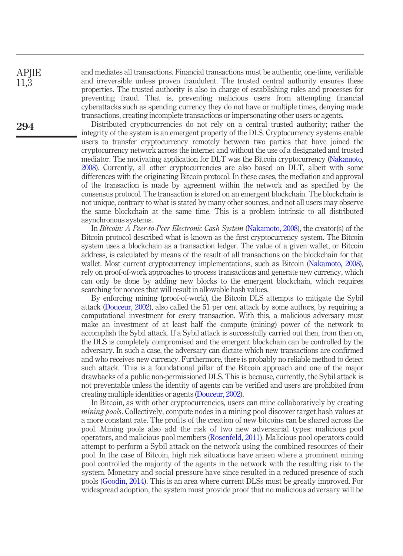and mediates all transactions. Financial transactions must be authentic, one-time, verifiable and irreversible unless proven fraudulent. The trusted central authority ensures these properties. The trusted authority is also in charge of establishing rules and processes for preventing fraud. That is, preventing malicious users from attempting financial cyberattacks such as spending currency they do not have or multiple times, denying made transactions, creating incomplete transactions or impersonating other users or agents.

Distributed cryptocurrencies do not rely on a central trusted authority; rather the integrity of the system is an emergent property of the DLS. Cryptocurrency systems enable users to transfer cryptocurrency remotely between two parties that have joined the cryptocurrency network across the internet and without the use of a designated and trusted mediator. The motivating application for DLT was the Bitcoin cryptocurrency ([Nakamoto,](#page-13-5) [2008](#page-13-5)). Currently, all other cryptocurrencies are also based on DLT, albeit with some differences with the originating Bitcoin protocol. In these cases, the mediation and approval of the transaction is made by agreement within the network and as specified by the consensus protocol. The transaction is stored on an emergent blockchain. The blockchain is not unique, contrary to what is stated by many other sources, and not all users may observe the same blockchain at the same time. This is a problem intrinsic to all distributed asynchronous systems.

In Bitcoin: A Peer-to-Peer Electronic Cash System [\(Nakamoto, 2008](#page-13-5)), the creator(s) of the Bitcoin protocol described what is known as the first cryptocurrency system. The Bitcoin system uses a blockchain as a transaction ledger. The value of a given wallet, or Bitcoin address, is calculated by means of the result of all transactions on the blockchain for that wallet. Most current cryptocurrency implementations, such as Bitcoin [\(Nakamoto, 2008\)](#page-13-5), rely on proof-of-work approaches to process transactions and generate new currency, which can only be done by adding new blocks to the emergent blockchain, which requires searching for nonces that will result in allowable hash values.

By enforcing mining (proof-of-work), the Bitcoin DLS attempts to mitigate the Sybil attack ([Douceur, 2002](#page-13-11)), also called the 51 per cent attack by some authors, by requiring a computational investment for every transaction. With this, a malicious adversary must make an investment of at least half the compute (mining) power of the network to accomplish the Sybil attack. If a Sybil attack is successfully carried out then, from then on, the DLS is completely compromised and the emergent blockchain can be controlled by the adversary. In such a case, the adversary can dictate which new transactions are confirmed and who receives new currency. Furthermore, there is probably no reliable method to detect such attack. This is a foundational pillar of the Bitcoin approach and one of the major drawbacks of a public non-permissioned DLS. This is because, currently, the Sybil attack is not preventable unless the identity of agents can be verified and users are prohibited from creating multiple identities or agents [\(Douceur, 2002](#page-13-11)).

In Bitcoin, as with other cryptocurrencies, users can mine collaboratively by creating *mining pools.* Collectively, compute nodes in a mining pool discover target hash values at a more constant rate. The profits of the creation of new bitcoins can be shared across the pool. Mining pools also add the risk of two new adversarial types: malicious pool operators, and malicious pool members [\(Rosenfeld, 2011](#page-13-12)). Malicious pool operators could attempt to perform a Sybil attack on the network using the combined resources of their pool. In the case of Bitcoin, high risk situations have arisen where a prominent mining pool controlled the majority of the agents in the network with the resulting risk to the system. Monetary and social pressure have since resulted in a reduced presence of such pools ([Goodin, 2014\)](#page-13-13). This is an area where current DLSs must be greatly improved. For widespread adoption, the system must provide proof that no malicious adversary will be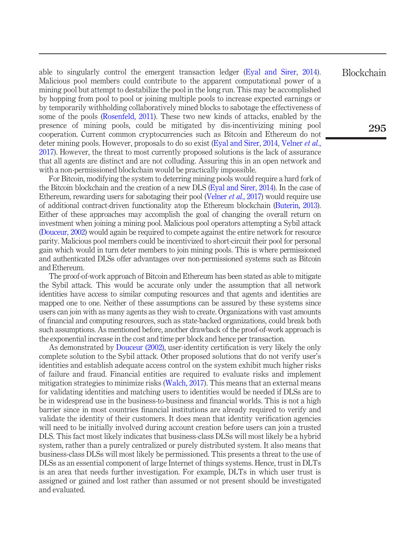able to singularly control the emergent transaction ledger ([Eyal and Sirer, 2014\)](#page-13-14). Malicious pool members could contribute to the apparent computational power of a mining pool but attempt to destabilize the pool in the long run. This may be accomplished by hopping from pool to pool or joining multiple pools to increase expected earnings or by temporarily withholding collaboratively mined blocks to sabotage the effectiveness of some of the pools ([Rosenfeld, 2011](#page-13-12)). These two new kinds of attacks, enabled by the presence of mining pools, could be mitigated by dis-incentivizing mining pool cooperation. Current common cryptocurrencies such as Bitcoin and Ethereum do not deter mining pools. However, proposals to do so exist [\(Eyal and Sirer, 2014](#page-13-14), [Velner](#page-14-3) *et al.*, [2017](#page-14-3)). However, the threat to most currently proposed solutions is the lack of assurance that all agents are distinct and are not colluding. Assuring this in an open network and with a non-permissioned blockchain would be practically impossible.

For Bitcoin, modifying the system to deterring mining pools would require a hard fork of the Bitcoin blockchain and the creation of a new DLS [\(Eyal and Sirer, 2014\)](#page-13-14). In the case of Ethereum, rewarding users for sabotaging their pool ([Velner](#page-14-3) *et al.*, 2017) would require use of additional contract-driven functionality atop the Ethereum blockchain [\(Buterin, 2013\)](#page-12-1). Either of these approaches may accomplish the goal of changing the overall return on investment when joining a mining pool. Malicious pool operators attempting a Sybil attack [\(Douceur, 2002](#page-13-11)) would again be required to compete against the entire network for resource parity. Malicious pool members could be incentivized to short-circuit their pool for personal gain which would in turn deter members to join mining pools. This is where permissioned and authenticated DLSs offer advantages over non-permissioned systems such as Bitcoin and Ethereum.

The proof-of-work approach of Bitcoin and Ethereum has been stated as able to mitigate the Sybil attack. This would be accurate only under the assumption that all network identities have access to similar computing resources and that agents and identities are mapped one to one. Neither of these assumptions can be assured by these systems since users can join with as many agents as they wish to create. Organizations with vast amounts of financial and computing resources, such as state-backed organizations, could break both such assumptions. As mentioned before, another drawback of the proof-of-work approach is the exponential increase in the cost and time per block and hence per transaction.

As demonstrated by [Douceur \(2002\)](#page-13-11), user-identity certification is very likely the only complete solution to the Sybil attack. Other proposed solutions that do not verify user's identities and establish adequate access control on the system exhibit much higher risks of failure and fraud. Financial entities are required to evaluate risks and implement mitigation strategies to minimize risks [\(Walch, 2017](#page-14-4)). This means that an external means for validating identities and matching users to identities would be needed if DLSs are to be in widespread use in the business-to-business and financial worlds. This is not a high barrier since in most countries financial institutions are already required to verify and validate the identity of their customers. It does mean that identity verification agencies will need to be initially involved during account creation before users can join a trusted DLS. This fact most likely indicates that business-class DLSs will most likely be a hybrid system, rather than a purely centralized or purely distributed system. It also means that business-class DLSs will most likely be permissioned. This presents a threat to the use of DLSs as an essential component of large Internet of things systems. Hence, trust in DLTs is an area that needs further investigation. For example, DLTs in which user trust is assigned or gained and lost rather than assumed or not present should be investigated and evaluated.

Blockchain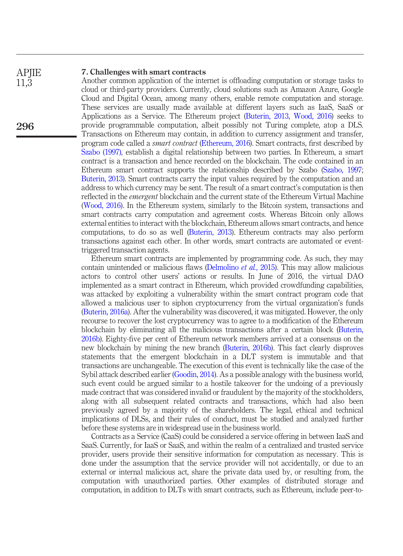#### 7. Challenges with smart contracts **APJIE**

11,3

296

Another common application of the internet is offloading computation or storage tasks to cloud or third-party providers. Currently, cloud solutions such as Amazon Azure, Google Cloud and Digital Ocean, among many others, enable remote computation and storage. These services are usually made available at different layers such as IaaS, SaaS or Applications as a Service. The Ethereum project [\(Buterin, 2013](#page-12-1), [Wood, 2016](#page-14-5)) seeks to provide programmable computation, albeit possibly not Turing complete, atop a DLS. Transactions on Ethereum may contain, in addition to currency assignment and transfer, program code called a smart contract ([Ethereum, 2016](#page-13-15)). Smart contracts, first described by [Szabo \(1997\)](#page-14-6), establish a digital relationship between two parties. In Ethereum, a smart contract is a transaction and hence recorded on the blockchain. The code contained in an Ethereum smart contract supports the relationship described by Szabo ([Szabo, 1997](#page-14-6); [Buterin, 2013](#page-12-1)). Smart contracts carry the input values required by the computation and an address to which currency may be sent. The result of a smart contract's computation is then reflected in the emergent blockchain and the current state of the Ethereum Virtual Machine [\(Wood, 2016\)](#page-14-5). In the Ethereum system, similarly to the Bitcoin system, transactions and smart contracts carry computation and agreement costs. Whereas Bitcoin only allows external entities to interact with the blockchain, Ethereum allows smart contracts, and hence computations, to do so as well [\(Buterin, 2013\)](#page-12-1). Ethereum contracts may also perform transactions against each other. In other words, smart contracts are automated or eventtriggered transaction agents.

Ethereum smart contracts are implemented by programming code. As such, they may contain unintended or malicious flaws ([Delmolino](#page-12-2) *et al.*, 2015). This may allow malicious actors to control other users' actions or results. In June of 2016, the virtual DAO implemented as a smart contract in Ethereum, which provided crowdfunding capabilities, was attacked by exploiting a vulnerability within the smart contract program code that allowed a malicious user to siphon cryptocurrency from the virtual organization's funds [\(Buterin, 2016a\)](#page-12-3). After the vulnerability was discovered, it was mitigated. However, the only recourse to recover the lost cryptocurrency was to agree to a modification of the Ethereum blockchain by eliminating all the malicious transactions after a certain block ([Buterin,](#page-12-0) [2016b](#page-12-0)). Eighty-five per cent of Ethereum network members arrived at a consensus on the new blockchain by mining the new branch [\(Buterin, 2016b\)](#page-12-0). This fact clearly disproves statements that the emergent blockchain in a DLT system is immutable and that transactions are unchangeable. The execution of this event is technically like the case of the Sybil attack described earlier [\(Goodin, 2014](#page-13-13)). As a possible analogy with the business world, such event could be argued similar to a hostile takeover for the undoing of a previously made contract that was considered invalid or fraudulent by the majority of the stockholders, along with all subsequent related contracts and transactions, which had also been previously agreed by a majority of the shareholders. The legal, ethical and technical implications of DLSs, and their rules of conduct, must be studied and analyzed further before these systems are in widespread use in the business world.

Contracts as a Service (CaaS) could be considered a service offering in between IaaS and SaaS. Currently, for IaaS or SaaS, and within the realm of a centralized and trusted service provider, users provide their sensitive information for computation as necessary. This is done under the assumption that the service provider will not accidentally, or due to an external or internal malicious act, share the private data used by, or resulting from, the computation with unauthorized parties. Other examples of distributed storage and computation, in addition to DLTs with smart contracts, such as Ethereum, include peer-to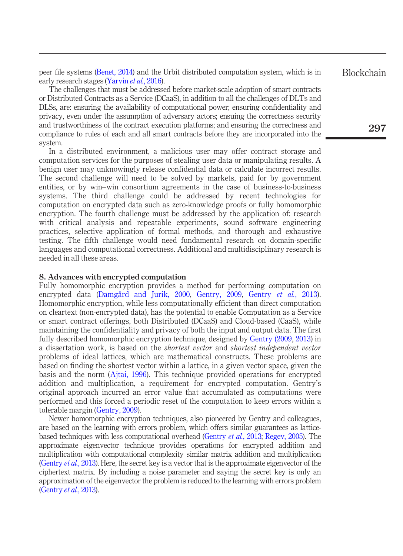peer file systems [\(Benet, 2014](#page-12-4)) and the Urbit distributed computation system, which is in early research stages ([Yarvin](#page-14-7) *et al.*, 2016).

The challenges that must be addressed before market-scale adoption of smart contracts or Distributed Contracts as a Service (DCaaS), in addition to all the challenges of DLTs and DLSs, are: ensuring the availability of computational power; ensuring confidentiality and privacy, even under the assumption of adversary actors; ensuing the correctness security and trustworthiness of the contract execution platforms; and ensuring the correctness and compliance to rules of each and all smart contracts before they are incorporated into the system.

In a distributed environment, a malicious user may offer contract storage and computation services for the purposes of stealing user data or manipulating results. A benign user may unknowingly release confidential data or calculate incorrect results. The second challenge will need to be solved by markets, paid for by government entities, or by win–win consortium agreements in the case of business-to-business systems. The third challenge could be addressed by recent technologies for computation on encrypted data such as zero-knowledge proofs or fully homomorphic encryption. The fourth challenge must be addressed by the application of: research with critical analysis and repeatable experiments, sound software engineering practices, selective application of formal methods, and thorough and exhaustive testing. The fifth challenge would need fundamental research on domain-specific languages and computational correctness. Additional and multidisciplinary research is needed in all these areas.

### 8. Advances with encrypted computation

Fully homomorphic encryption provides a method for performing computation on encrypted data ([Damgård and Jurik, 2000,](#page-12-5) [Gentry, 2009](#page-13-16), Gentry et al.[, 2013\)](#page-13-17). Homomorphic encryption, while less computationally efficient than direct computation on cleartext (non-encrypted data), has the potential to enable Computation as a Service or smart contract offerings, both Distributed (DCaaS) and Cloud-based (CaaS), while maintaining the confidentiality and privacy of both the input and output data. The first fully described homomorphic encryption technique, designed by [Gentry \(2009,](#page-13-16) [2013\)](#page-13-17) in a dissertation work, is based on the shortest vector and shortest independent vector problems of ideal lattices, which are mathematical constructs. These problems are based on finding the shortest vector within a lattice, in a given vector space, given the basis and the norm ([Ajtai, 1996\)](#page-12-6). This technique provided operations for encrypted addition and multiplication, a requirement for encrypted computation. Gentry's original approach incurred an error value that accumulated as computations were performed and this forced a periodic reset of the computation to keep errors within a tolerable margin ([Gentry, 2009\)](#page-13-16).

Newer homomorphic encryption techniques, also pioneered by Gentry and colleagues, are based on the learning with errors problem, which offers similar guarantees as latticebased techniques with less computational overhead [\(Gentry](#page-13-17) et al., 2013; [Regev, 2005\)](#page-13-18). The approximate eigenvector technique provides operations for encrypted addition and multiplication with computational complexity similar matrix addition and multiplication [\(Gentry](#page-13-17) *et al.*, 2013). Here, the secret key is a vector that is the approximate eigenvector of the ciphertext matrix. By including a noise parameter and saying the secret key is only an approximation of the eigenvector the problem is reduced to the learning with errors problem [\(Gentry](#page-13-17) et al., 2013).

Blockchain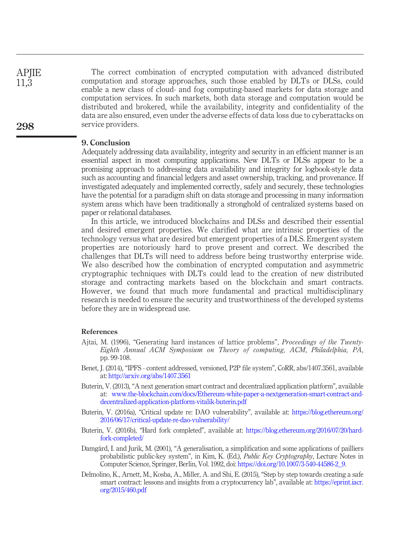The correct combination of encrypted computation with advanced distributed computation and storage approaches, such those enabled by DLTs or DLSs, could enable a new class of cloud- and fog computing-based markets for data storage and computation services. In such markets, both data storage and computation would be distributed and brokered, while the availability, integrity and confidentiality of the data are also ensured, even under the adverse effects of data loss due to cyberattacks on service providers.

#### 9. Conclusion

Adequately addressing data availability, integrity and security in an efficient manner is an essential aspect in most computing applications. New DLTs or DLSs appear to be a promising approach to addressing data availability and integrity for logbook-style data such as accounting and financial ledgers and asset ownership, tracking, and provenance. If investigated adequately and implemented correctly, safely and securely, these technologies have the potential for a paradigm shift on data storage and processing in many information system areas which have been traditionally a stronghold of centralized systems based on paper or relational databases.

In this article, we introduced blockchains and DLSs and described their essential and desired emergent properties. We clarified what are intrinsic properties of the technology versus what are desired but emergent properties of a DLS. Emergent system properties are notoriously hard to prove present and correct. We described the challenges that DLTs will need to address before being trustworthy enterprise wide. We also described how the combination of encrypted computation and asymmetric cryptographic techniques with DLTs could lead to the creation of new distributed storage and contracting markets based on the blockchain and smart contracts. However, we found that much more fundamental and practical multidisciplinary research is needed to ensure the security and trustworthiness of the developed systems before they are in widespread use.

#### References

- <span id="page-12-6"></span>Ajtai, M. (1996), "Generating hard instances of lattice problems", *Proceedings of the Twenty-*Eighth Annual ACM Symposium on Theory of computing, ACM, Philadelphia, PA, pp. 99-108.
- <span id="page-12-4"></span>Benet, J. (2014), "IPFS - content addressed, versioned, P2P file system", CoRR, abs/1407.3561, available at: <http://arxiv.org/abs/1407.3561>
- <span id="page-12-1"></span>Buterin, V. (2013), "A next generation smart contract and decentralized application platform", available at: [www.the-blockchain.com/docs/Ethereum-white-paper-a-nextgeneration-smart-contract-and](http://www.the-blockchain.com/docs/Ethereum-white-paper-a-nextgeneration-smart-contract-and-decentralized-application-platform-vitalik-buterin.pdf)[decentralized-application-platform-vitalik-buterin.pdf](http://www.the-blockchain.com/docs/Ethereum-white-paper-a-nextgeneration-smart-contract-and-decentralized-application-platform-vitalik-buterin.pdf)
- <span id="page-12-3"></span>Buterin, V. (2016a), "Critical update re: DAO vulnerability", available at: [https://blog.ethereum.org/](https://blog.ethereum.org/2016/06/17/critical-update-re-dao-vulnerability/) [2016/06/17/critical-update-re-dao-vulnerability/](https://blog.ethereum.org/2016/06/17/critical-update-re-dao-vulnerability/)
- <span id="page-12-0"></span>Buterin, V. (2016b), "Hard fork completed", available at: [https://blog.ethereum.org/2016/07/20/hard](https://blog.ethereum.org/2016/07/20/hard-fork-completed/)[fork-completed/](https://blog.ethereum.org/2016/07/20/hard-fork-completed/)
- <span id="page-12-5"></span>Damgård, I. and Jurik, M. (2001), "A generalisation, a simplification and some applications of pailliers probabilistic public-key system", in Kim, K. (Ed.), Public Key Cryptography, Lecture Notes in Computer Science, Springer, Berlin, Vol. 1992, doi: [https://doi.org/10.1007/3-540-44586-2\\_9](http://dx.doi.org/https://doi.org/10.1007/3-540-44586-2_9).
- <span id="page-12-2"></span>Delmolino, K., Arnett, M., Kosba, A., Miller, A. and Shi, E. (2015), "Step by step towards creating a safe smart contract: lessons and insights from a cryptocurrency lab", available at: [https://eprint.iacr.](https://eprint.iacr.org/2015/460.pdf) [org/2015/460.pdf](https://eprint.iacr.org/2015/460.pdf)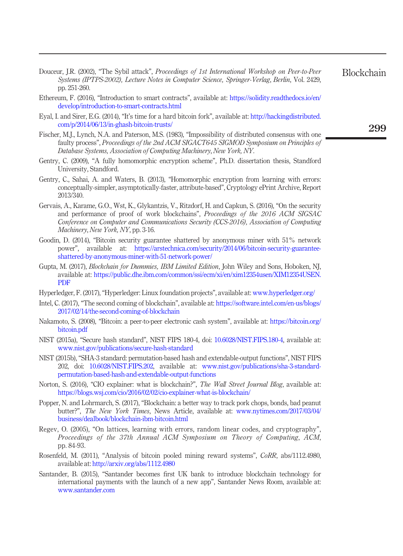- <span id="page-13-11"></span>Douceur, J.R. (2002), "The Sybil attack", Proceedings of 1st International Workshop on Peer-to-Peer Systems (IPTPS-2002), Lecture Notes in Computer Science, Springer-Verlag, Berlin, Vol. 2429, pp. 251-260.
- <span id="page-13-15"></span>Ethereum, F. (2016), "Introduction to smart contracts", available at: [https://solidity.readthedocs.io/en/](https://solidity.readthedocs.io/en/develop/introduction-to-smart-contracts.html) [develop/introduction-to-smart-contracts.html](https://solidity.readthedocs.io/en/develop/introduction-to-smart-contracts.html)
- <span id="page-13-14"></span>Eyal, I. and Sirer, E.G. (2014), "It's time for a hard bitcoin fork", available at: [http://hackingdistributed.](http://hackingdistributed.com/p/2014/06/13/in-ghash-bitcoin-trusts/) [com/p/2014/06/13/in-ghash-bitcoin-trusts/](http://hackingdistributed.com/p/2014/06/13/in-ghash-bitcoin-trusts/)
- <span id="page-13-9"></span>Fischer, M.J., Lynch, N.A. and Paterson, M.S. (1983), "Impossibility of distributed consensus with one faulty process", Proceedings of the 2nd ACM SIGACT645 SIGMOD Symposium on Principles of Database Systems, Association of Computing Machinery, New York, NY.
- <span id="page-13-16"></span>Gentry, C. (2009), "A fully homomorphic encryption scheme", Ph.D. dissertation thesis, Standford University, Standford.
- <span id="page-13-17"></span>Gentry, C., Sahai, A. and Waters, B. (2013), "Homomorphic encryption from learning with errors: conceptually-simpler, asymptotically-faster, attribute-based", Cryptology ePrint Archive, Report 2013/340.
- <span id="page-13-8"></span>Gervais, A., Karame, G.O., Wst, K., Glykantzis, V., Ritzdorf, H. and Capkun, S. (2016), "On the security and performance of proof of work blockchains", Proceedings of the 2016 ACM SIGSAC Conference on Computer and Communications Security (CCS-2016), Association of Computing Machinery, New York, NY, pp. 3-16.
- <span id="page-13-13"></span>Goodin, D. (2014), "Bitcoin security guarantee shattered by anonymous miner with 51% network power", available at: [https://arstechnica.com/security/2014/06/bitcoin-security-guarantee](https://arstechnica.com/security/2014/06/bitcoin-security-guarantee-shattered-by-anonymous-miner-with-51-network-power/)[shattered-by-anonymous-miner-with-51-network-power/](https://arstechnica.com/security/2014/06/bitcoin-security-guarantee-shattered-by-anonymous-miner-with-51-network-power/)
- <span id="page-13-4"></span>Gupta, M. (2017), *Blockchain for Dummies, IBM Limited Edition*, John Wiley and Sons, Hoboken, NJ, available at: [https://public.dhe.ibm.com/common/ssi/ecm/xi/en/xim12354usen/XIM12354USEN.](https://public.dhe.ibm.com/common/ssi/ecm/xi/en/xim12354usen/XIM12354USEN.PDF) [PDF](https://public.dhe.ibm.com/common/ssi/ecm/xi/en/xim12354usen/XIM12354USEN.PDF)
- <span id="page-13-3"></span>Hyperledger, F. (2017),"Hyperledger: Linux foundation projects", available at: [www.hyperledger.org/](https://www.hyperledger.org/)
- <span id="page-13-10"></span>Intel, C. (2017), "The second coming of blockchain", available at: [https://software.intel.com/en-us/blogs/](https://software.intel.com/en-us/blogs/2017/02/14/the-second-coming-of-blockchain) [2017/02/14/the-second-coming-of-blockchain](https://software.intel.com/en-us/blogs/2017/02/14/the-second-coming-of-blockchain)
- <span id="page-13-5"></span>Nakamoto, S. (2008), "Bitcoin: a peer-to-peer electronic cash system", available at: [https://bitcoin.org/](https://bitcoin.org/bitcoin.pdf) [bitcoin.pdf](https://bitcoin.org/bitcoin.pdf)
- <span id="page-13-6"></span>NIST (2015a), "Secure hash standard", NIST FIPS 180-4, doi: [10.6028/NIST.FIPS.180-4,](http://dx.doi.org/10.6028/NIST.FIPS.180-4) available at: [www.nist.gov/publications/secure-hash-standard](https://www.nist.gov/publications/secure-hash-standard)
- <span id="page-13-7"></span>NIST (2015b), "SHA-3 standard: permutation-based hash and extendable-output functions", NIST FIPS 202, doi: [10.6028/NIST.FIPS.202](http://dx.doi.org/10.6028/NIST.FIPS.202), available at: [www.nist.gov/publications/sha-3-standard](https://www.nist.gov/publications/sha-3-standard-permutation-based-hash-and-extendable-output-functions)[permutation-based-hash-and-extendable-output-functions](https://www.nist.gov/publications/sha-3-standard-permutation-based-hash-and-extendable-output-functions)
- <span id="page-13-2"></span>Norton, S. (2016), "CIO explainer: what is blockchain?", The Wall Street Journal Blog, available at: <https://blogs.wsj.com/cio/2016/02/02/cio-explainer-what-is-blockchain/>
- <span id="page-13-0"></span>Popper, N. and Lohrmarch, S. (2017), "Blockchain: a better way to track pork chops, bonds, bad peanut butter?", The New York Times, News Article, available at: [www.nytimes.com/2017/03/04/](http://www.nytimes.com/2017/03/04/business/dealbook/blockchain-ibm-bitcoin.html) [business/dealbook/blockchain-ibm-bitcoin.html](http://www.nytimes.com/2017/03/04/business/dealbook/blockchain-ibm-bitcoin.html)
- <span id="page-13-18"></span>Regev, O. (2005), "On lattices, learning with errors, random linear codes, and cryptography", Proceedings of the 37th Annual ACM Symposium on Theory of Computing, ACM, pp. 84-93.
- <span id="page-13-12"></span>Rosenfeld, M. (2011), "Analysis of bitcoin pooled mining reward systems", CoRR, abs/1112.4980, available at: <http://arxiv.org/abs/1112.4980>
- <span id="page-13-1"></span>Santander, B. (2015), "Santander becomes first UK bank to introduce blockchain technology for international payments with the launch of a new app", Santander News Room, available at: [www.santander.com](http://www.santander.com)

299

Blockchain